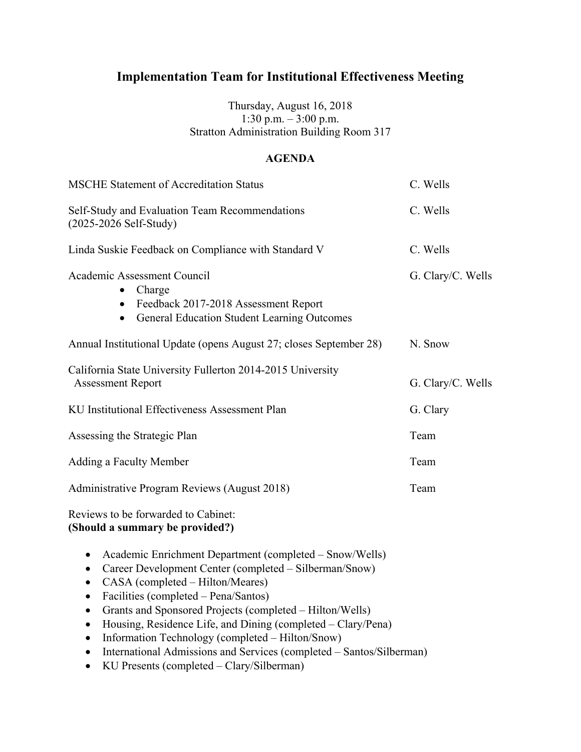## Thursday, August 16, 2018 1:30 p.m. – 3:00 p.m. Stratton Administration Building Room 317

## **AGENDA**

| <b>MSCHE Statement of Accreditation Status</b>                                                                                                                                                                                                                                                                                                                                                                                                                                                                                                                | C. Wells          |
|---------------------------------------------------------------------------------------------------------------------------------------------------------------------------------------------------------------------------------------------------------------------------------------------------------------------------------------------------------------------------------------------------------------------------------------------------------------------------------------------------------------------------------------------------------------|-------------------|
| Self-Study and Evaluation Team Recommendations<br>$(2025 - 2026 \text{ Self-Study})$                                                                                                                                                                                                                                                                                                                                                                                                                                                                          | C. Wells          |
| Linda Suskie Feedback on Compliance with Standard V                                                                                                                                                                                                                                                                                                                                                                                                                                                                                                           | C. Wells          |
| Academic Assessment Council<br>Charge<br>$\bullet$<br>Feedback 2017-2018 Assessment Report<br>$\bullet$<br>• General Education Student Learning Outcomes                                                                                                                                                                                                                                                                                                                                                                                                      | G. Clary/C. Wells |
| Annual Institutional Update (opens August 27; closes September 28)                                                                                                                                                                                                                                                                                                                                                                                                                                                                                            | N. Snow           |
| California State University Fullerton 2014-2015 University<br><b>Assessment Report</b>                                                                                                                                                                                                                                                                                                                                                                                                                                                                        | G. Clary/C. Wells |
| KU Institutional Effectiveness Assessment Plan                                                                                                                                                                                                                                                                                                                                                                                                                                                                                                                | G. Clary          |
| Assessing the Strategic Plan                                                                                                                                                                                                                                                                                                                                                                                                                                                                                                                                  | Team              |
| Adding a Faculty Member                                                                                                                                                                                                                                                                                                                                                                                                                                                                                                                                       | Team              |
| Administrative Program Reviews (August 2018)                                                                                                                                                                                                                                                                                                                                                                                                                                                                                                                  | Team              |
| Reviews to be forwarded to Cabinet:<br>(Should a summary be provided?)                                                                                                                                                                                                                                                                                                                                                                                                                                                                                        |                   |
| Academic Enrichment Department (completed – Snow/Wells)<br>$\bullet$<br>Career Development Center (completed - Silberman/Snow)<br>$\bullet$<br>CASA (completed - Hilton/Meares)<br>$\bullet$<br>Facilities (completed – Pena/Santos)<br>$\bullet$<br>Grants and Sponsored Projects (completed - Hilton/Wells)<br>$\bullet$<br>Housing, Residence Life, and Dining (completed – Clary/Pena)<br>$\bullet$<br>Information Technology (completed - Hilton/Snow)<br>$\bullet$<br>International Admissions and Services (completed - Santos/Silberman)<br>$\bullet$ |                   |

• KU Presents (completed – Clary/Silberman)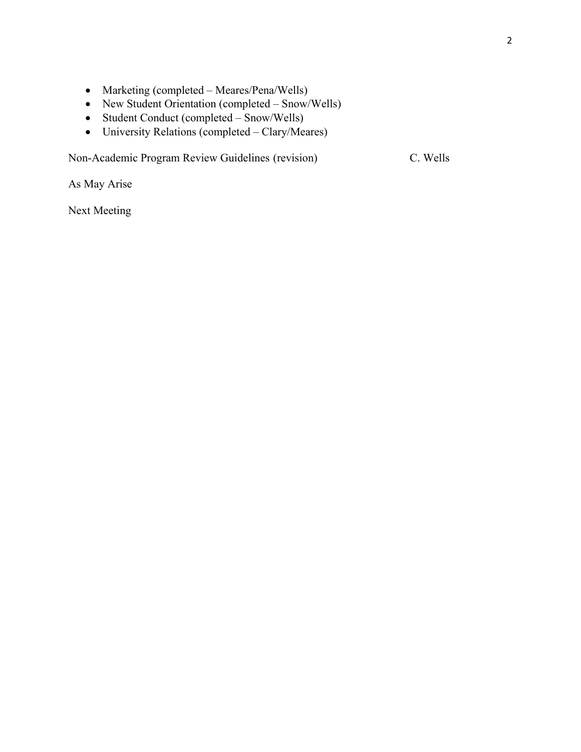- Marketing (completed Meares/Pena/Wells)
- New Student Orientation (completed Snow/Wells)
- Student Conduct (completed Snow/Wells)
- University Relations (completed Clary/Meares)

Non-Academic Program Review Guidelines (revision) C. Wells

As May Arise

Next Meeting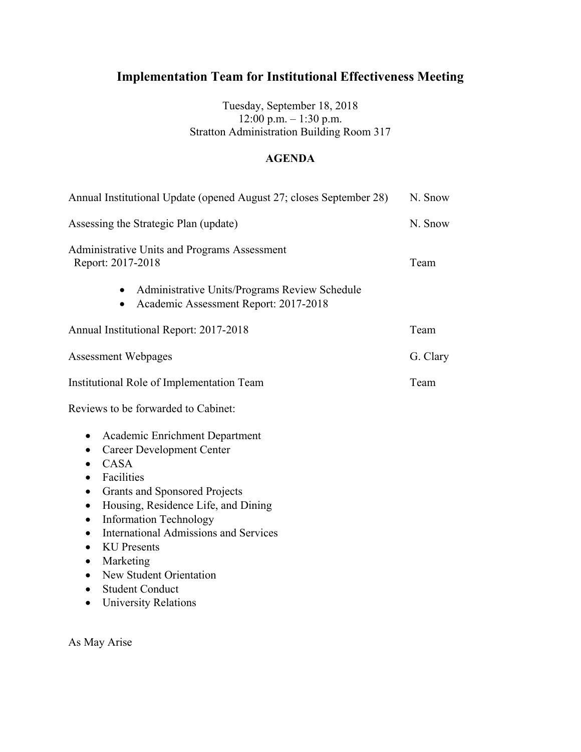Tuesday, September 18, 2018 12:00 p.m. – 1:30 p.m. Stratton Administration Building Room 317

## **AGENDA**

| Annual Institutional Update (opened August 27; closes September 28)                                                                                                                                                                                                                                                                                                                                                                                                                                                                 | N. Snow  |
|-------------------------------------------------------------------------------------------------------------------------------------------------------------------------------------------------------------------------------------------------------------------------------------------------------------------------------------------------------------------------------------------------------------------------------------------------------------------------------------------------------------------------------------|----------|
| Assessing the Strategic Plan (update)                                                                                                                                                                                                                                                                                                                                                                                                                                                                                               | N. Snow  |
| Administrative Units and Programs Assessment<br>Report: 2017-2018                                                                                                                                                                                                                                                                                                                                                                                                                                                                   | Team     |
| Administrative Units/Programs Review Schedule<br>٠<br>Academic Assessment Report: 2017-2018<br>$\bullet$                                                                                                                                                                                                                                                                                                                                                                                                                            |          |
| Annual Institutional Report: 2017-2018                                                                                                                                                                                                                                                                                                                                                                                                                                                                                              | Team     |
| <b>Assessment Webpages</b>                                                                                                                                                                                                                                                                                                                                                                                                                                                                                                          | G. Clary |
| Institutional Role of Implementation Team                                                                                                                                                                                                                                                                                                                                                                                                                                                                                           | Team     |
| Reviews to be forwarded to Cabinet:                                                                                                                                                                                                                                                                                                                                                                                                                                                                                                 |          |
| Academic Enrichment Department<br>٠<br><b>Career Development Center</b><br>$\bullet$<br>CASA<br>$\bullet$<br>Facilities<br>$\bullet$<br><b>Grants and Sponsored Projects</b><br>$\bullet$<br>Housing, Residence Life, and Dining<br>$\bullet$<br><b>Information Technology</b><br>$\bullet$<br><b>International Admissions and Services</b><br>$\bullet$<br><b>KU</b> Presents<br>$\bullet$<br>Marketing<br>$\bullet$<br>New Student Orientation<br>$\bullet$<br><b>Student Conduct</b><br><b>University Relations</b><br>$\bullet$ |          |

As May Arise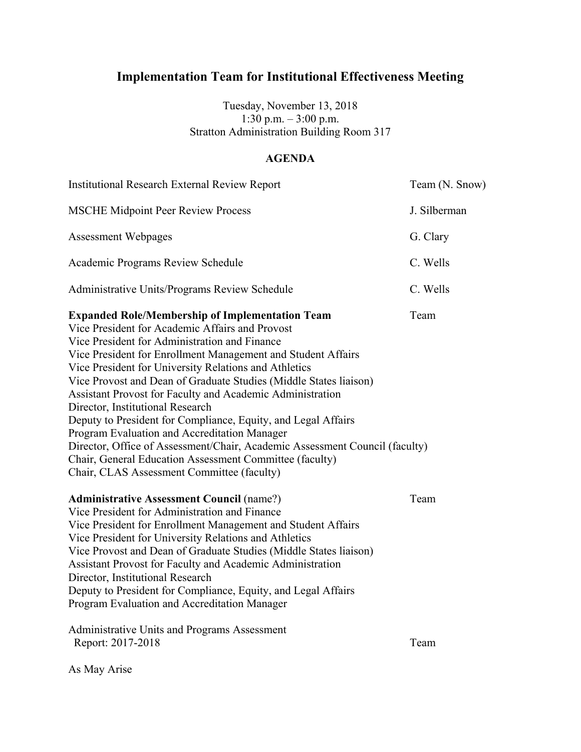Tuesday, November 13, 2018 1:30 p.m. – 3:00 p.m. Stratton Administration Building Room 317

## **AGENDA**

| <b>Institutional Research External Review Report</b>                                                                                                                                                                                                                                                                                                                                                                                                                                                                                                                                                                                                                                                                                                                                                                                                                                                                                                                                                                                                                                                                               | Team (N. Snow) |
|------------------------------------------------------------------------------------------------------------------------------------------------------------------------------------------------------------------------------------------------------------------------------------------------------------------------------------------------------------------------------------------------------------------------------------------------------------------------------------------------------------------------------------------------------------------------------------------------------------------------------------------------------------------------------------------------------------------------------------------------------------------------------------------------------------------------------------------------------------------------------------------------------------------------------------------------------------------------------------------------------------------------------------------------------------------------------------------------------------------------------------|----------------|
| <b>MSCHE Midpoint Peer Review Process</b>                                                                                                                                                                                                                                                                                                                                                                                                                                                                                                                                                                                                                                                                                                                                                                                                                                                                                                                                                                                                                                                                                          | J. Silberman   |
| <b>Assessment Webpages</b>                                                                                                                                                                                                                                                                                                                                                                                                                                                                                                                                                                                                                                                                                                                                                                                                                                                                                                                                                                                                                                                                                                         | G. Clary       |
| Academic Programs Review Schedule                                                                                                                                                                                                                                                                                                                                                                                                                                                                                                                                                                                                                                                                                                                                                                                                                                                                                                                                                                                                                                                                                                  | C. Wells       |
| Administrative Units/Programs Review Schedule                                                                                                                                                                                                                                                                                                                                                                                                                                                                                                                                                                                                                                                                                                                                                                                                                                                                                                                                                                                                                                                                                      | C. Wells       |
| <b>Expanded Role/Membership of Implementation Team</b><br>Vice President for Academic Affairs and Provost<br>Vice President for Administration and Finance<br>Vice President for Enrollment Management and Student Affairs<br>Vice President for University Relations and Athletics<br>Vice Provost and Dean of Graduate Studies (Middle States liaison)<br>Assistant Provost for Faculty and Academic Administration<br>Director, Institutional Research<br>Deputy to President for Compliance, Equity, and Legal Affairs<br>Program Evaluation and Accreditation Manager<br>Director, Office of Assessment/Chair, Academic Assessment Council (faculty)<br>Chair, General Education Assessment Committee (faculty)<br>Chair, CLAS Assessment Committee (faculty)<br><b>Administrative Assessment Council (name?)</b><br>Vice President for Administration and Finance<br>Vice President for Enrollment Management and Student Affairs<br>Vice President for University Relations and Athletics<br>Vice Provost and Dean of Graduate Studies (Middle States liaison)<br>Assistant Provost for Faculty and Academic Administration | Team<br>Team   |
| Director, Institutional Research<br>Deputy to President for Compliance, Equity, and Legal Affairs<br>Program Evaluation and Accreditation Manager                                                                                                                                                                                                                                                                                                                                                                                                                                                                                                                                                                                                                                                                                                                                                                                                                                                                                                                                                                                  |                |
| Administrative Units and Programs Assessment<br>Report: 2017-2018                                                                                                                                                                                                                                                                                                                                                                                                                                                                                                                                                                                                                                                                                                                                                                                                                                                                                                                                                                                                                                                                  | Team           |

As May Arise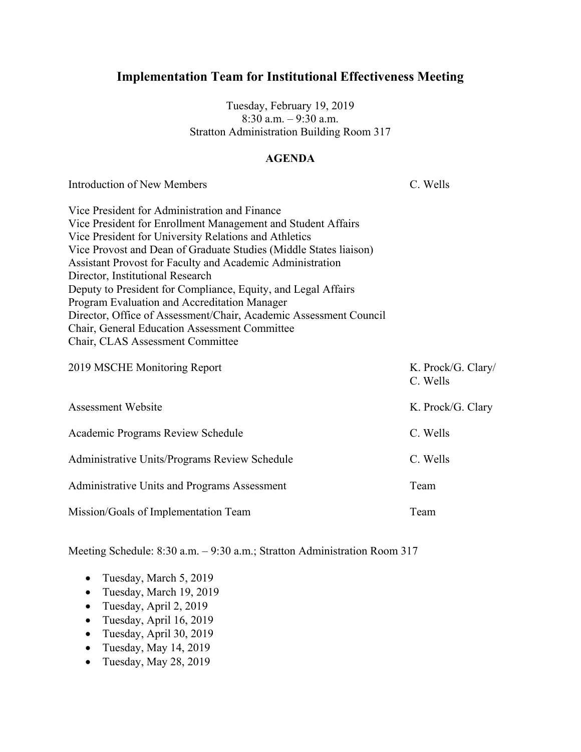Tuesday, February 19, 2019 8:30 a.m. – 9:30 a.m. Stratton Administration Building Room 317

#### **AGENDA**

Introduction of New Members and C. Wells

| Vice President for Administration and Finance                     |
|-------------------------------------------------------------------|
| Vice President for Enrollment Management and Student Affairs      |
| Vice President for University Relations and Athletics             |
| Vice Provost and Dean of Graduate Studies (Middle States liaison) |
| Assistant Provost for Faculty and Academic Administration         |
| Director, Institutional Research                                  |
| Deputy to President for Compliance, Equity, and Legal Affairs     |
| Program Evaluation and Accreditation Manager                      |
| Director, Office of Assessment/Chair, Academic Assessment Council |
| <b>Chair, General Education Assessment Committee</b>              |
| Chair, CLAS Assessment Committee                                  |
| 2019 MSCHE Monitoring Report<br>$K$ Prock/G Clary                 |

| <b><i>LOTT INDUTTE MONITORING INCRETE</i></b> | $\mathbf{N}$ . I TOUN O. URI $\mathbf{V}$<br>C. Wells |
|-----------------------------------------------|-------------------------------------------------------|
| Assessment Website                            | K. Prock/G. Clary                                     |
| Academic Programs Review Schedule             | C. Wells                                              |
| Administrative Units/Programs Review Schedule | C. Wells                                              |
| Administrative Units and Programs Assessment  | Team                                                  |
| Mission/Goals of Implementation Team          | Team                                                  |

- Tuesday, March 5, 2019
- Tuesday, March 19, 2019
- Tuesday, April 2, 2019
- Tuesday, April 16, 2019
- Tuesday, April 30, 2019
- Tuesday, May  $14, 2019$
- Tuesday, May 28, 2019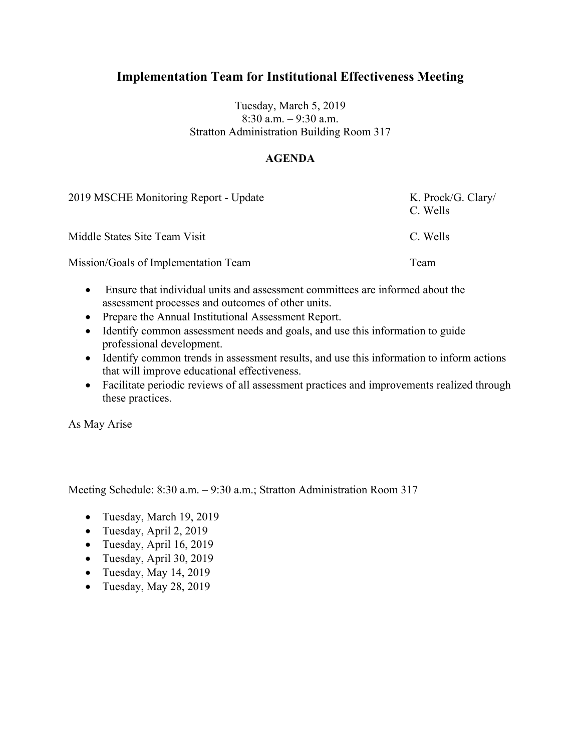### Tuesday, March 5, 2019 8:30 a.m. – 9:30 a.m. Stratton Administration Building Room 317

## **AGENDA**

| 2019 MSCHE Monitoring Report - Update | K. Prock/G. Clary/<br>C. Wells |
|---------------------------------------|--------------------------------|
| Middle States Site Team Visit         | C. Wells                       |
| Mission/Goals of Implementation Team  | Team                           |

- Ensure that individual units and assessment committees are informed about the assessment processes and outcomes of other units.
- Prepare the Annual Institutional Assessment Report.
- Identify common assessment needs and goals, and use this information to guide professional development.
- Identify common trends in assessment results, and use this information to inform actions that will improve educational effectiveness.
- Facilitate periodic reviews of all assessment practices and improvements realized through these practices.

As May Arise

- Tuesday, March 19, 2019
- Tuesday, April 2, 2019
- Tuesday, April 16, 2019
- Tuesday, April 30, 2019
- Tuesday, May  $14, 2019$
- Tuesday, May 28, 2019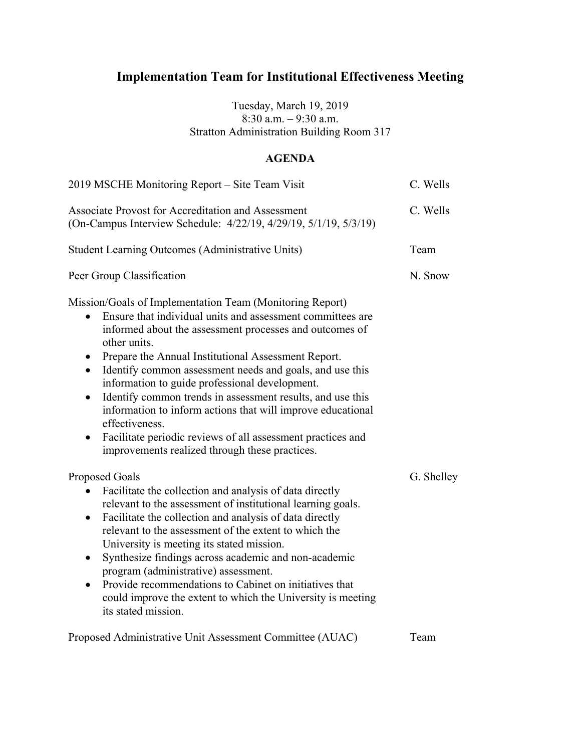Tuesday, March 19, 2019 8:30 a.m. – 9:30 a.m. Stratton Administration Building Room 317

### **AGENDA**

| 2019 MSCHE Monitoring Report - Site Team Visit                                                                                                                                                                                                                                                                                                                                                                                                                                                                                                                                                                                                                                | C. Wells   |
|-------------------------------------------------------------------------------------------------------------------------------------------------------------------------------------------------------------------------------------------------------------------------------------------------------------------------------------------------------------------------------------------------------------------------------------------------------------------------------------------------------------------------------------------------------------------------------------------------------------------------------------------------------------------------------|------------|
| Associate Provost for Accreditation and Assessment<br>(On-Campus Interview Schedule: 4/22/19, 4/29/19, 5/1/19, 5/3/19)                                                                                                                                                                                                                                                                                                                                                                                                                                                                                                                                                        | C. Wells   |
| <b>Student Learning Outcomes (Administrative Units)</b>                                                                                                                                                                                                                                                                                                                                                                                                                                                                                                                                                                                                                       | Team       |
| Peer Group Classification                                                                                                                                                                                                                                                                                                                                                                                                                                                                                                                                                                                                                                                     | N. Snow    |
| Mission/Goals of Implementation Team (Monitoring Report)<br>Ensure that individual units and assessment committees are<br>$\bullet$<br>informed about the assessment processes and outcomes of<br>other units.<br>Prepare the Annual Institutional Assessment Report.<br>Identify common assessment needs and goals, and use this<br>$\bullet$<br>information to guide professional development.<br>Identify common trends in assessment results, and use this<br>$\bullet$<br>information to inform actions that will improve educational<br>effectiveness.<br>Facilitate periodic reviews of all assessment practices and<br>improvements realized through these practices. |            |
| <b>Proposed Goals</b><br>Facilitate the collection and analysis of data directly<br>relevant to the assessment of institutional learning goals.<br>Facilitate the collection and analysis of data directly<br>$\bullet$<br>relevant to the assessment of the extent to which the<br>University is meeting its stated mission.<br>Synthesize findings across academic and non-academic<br>$\bullet$<br>program (administrative) assessment.<br>Provide recommendations to Cabinet on initiatives that<br>$\bullet$<br>could improve the extent to which the University is meeting<br>its stated mission.                                                                       | G. Shelley |
| Proposed Administrative Unit Assessment Committee (AUAC)                                                                                                                                                                                                                                                                                                                                                                                                                                                                                                                                                                                                                      | Team       |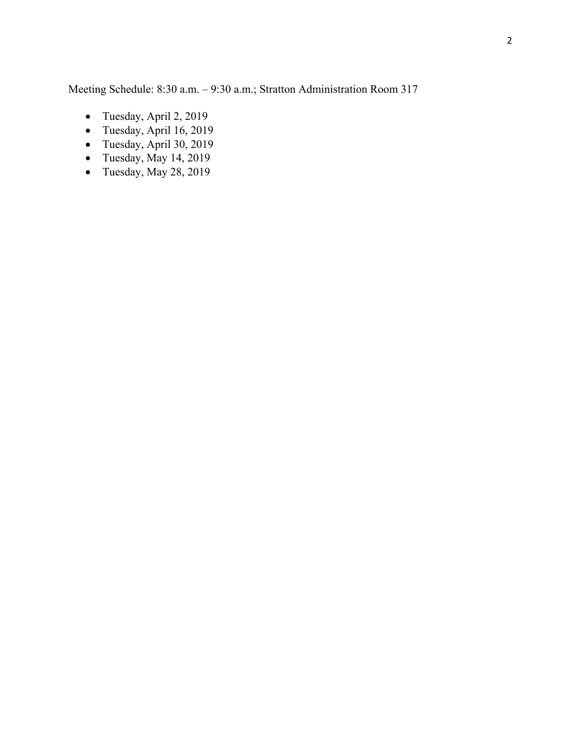- Tuesday, April 2, 2019
- Tuesday, April 16, 2019
- Tuesday, April 30, 2019
- Tuesday, May 14, 2019
- Tuesday, May 28, 2019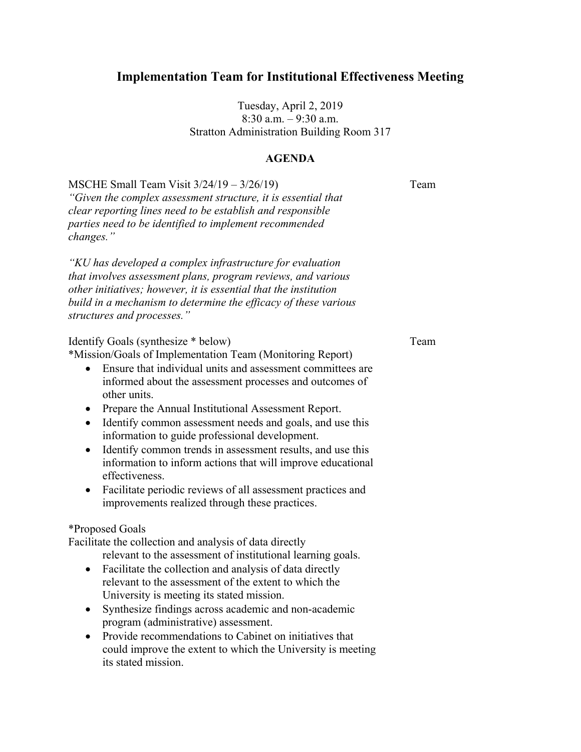Tuesday, April 2, 2019 8:30 a.m. – 9:30 a.m. Stratton Administration Building Room 317

#### **AGENDA**

MSCHE Small Team Visit  $3/24/19 - 3/26/19$  Team *"Given the complex assessment structure, it is essential that clear reporting lines need to be establish and responsible parties need to be identified to implement recommended changes."*

*"KU has developed a complex infrastructure for evaluation that involves assessment plans, program reviews, and various other initiatives; however, it is essential that the institution build in a mechanism to determine the efficacy of these various structures and processes."*

#### Identify Goals (synthesize \* below) Team

\*Mission/Goals of Implementation Team (Monitoring Report)

- Ensure that individual units and assessment committees are informed about the assessment processes and outcomes of other units.
- Prepare the Annual Institutional Assessment Report.
- Identify common assessment needs and goals, and use this information to guide professional development.
- Identify common trends in assessment results, and use this information to inform actions that will improve educational effectiveness.
- Facilitate periodic reviews of all assessment practices and improvements realized through these practices.

#### \*Proposed Goals

Facilitate the collection and analysis of data directly

- relevant to the assessment of institutional learning goals.
- Facilitate the collection and analysis of data directly relevant to the assessment of the extent to which the University is meeting its stated mission.
- Synthesize findings across academic and non-academic program (administrative) assessment.
- Provide recommendations to Cabinet on initiatives that could improve the extent to which the University is meeting its stated mission.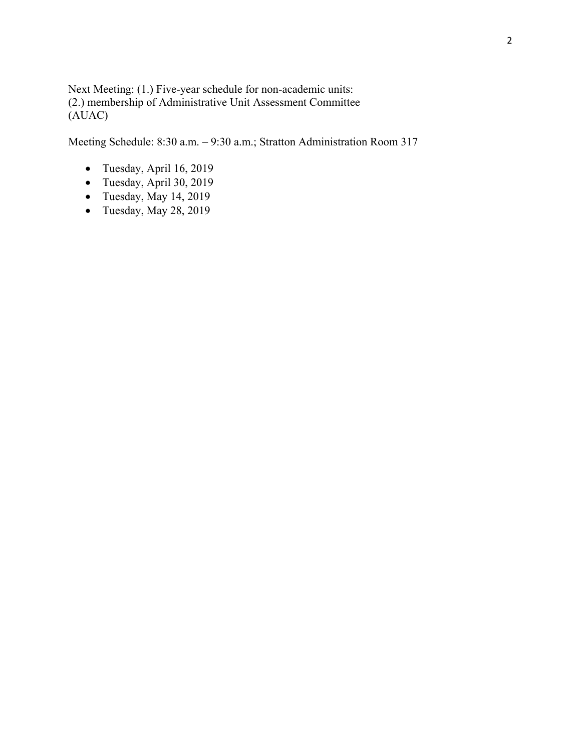Next Meeting: (1.) Five-year schedule for non-academic units: (2.) membership of Administrative Unit Assessment Committee (AUAC)

- Tuesday, April 16, 2019
- Tuesday, April 30, 2019
- Tuesday, May  $14, 2019$
- Tuesday, May 28, 2019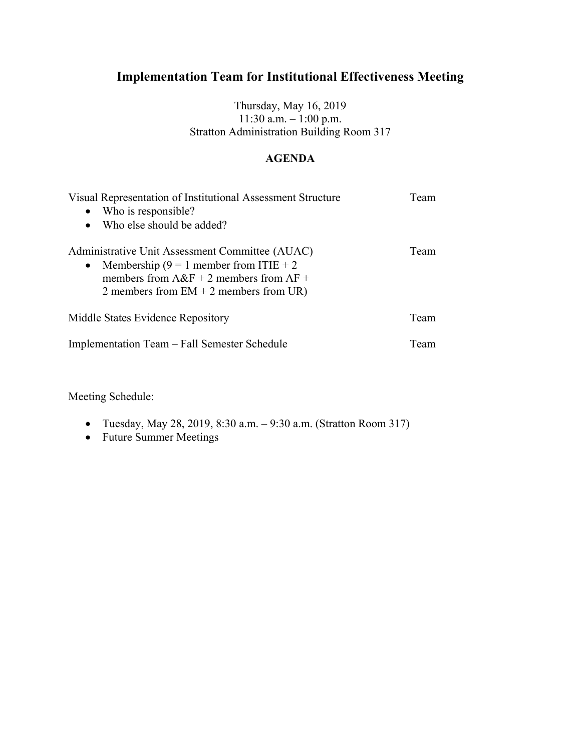Thursday, May 16, 2019 11:30 a.m. – 1:00 p.m. Stratton Administration Building Room 317

## **AGENDA**

| Visual Representation of Institutional Assessment Structure<br>• Who is responsible?                                                                                                              | Team |
|---------------------------------------------------------------------------------------------------------------------------------------------------------------------------------------------------|------|
| Who else should be added?                                                                                                                                                                         |      |
| Administrative Unit Assessment Committee (AUAC)<br>Membership (9 = 1 member from ITIE + 2<br>$\bullet$<br>members from $A\&F + 2$ members from $AF +$<br>2 members from $EM + 2$ members from UR) | Team |
| Middle States Evidence Repository                                                                                                                                                                 | Team |
| Implementation Team - Fall Semester Schedule                                                                                                                                                      | Team |

Meeting Schedule:

- Tuesday, May 28, 2019, 8:30 a.m. 9:30 a.m. (Stratton Room 317)
- Future Summer Meetings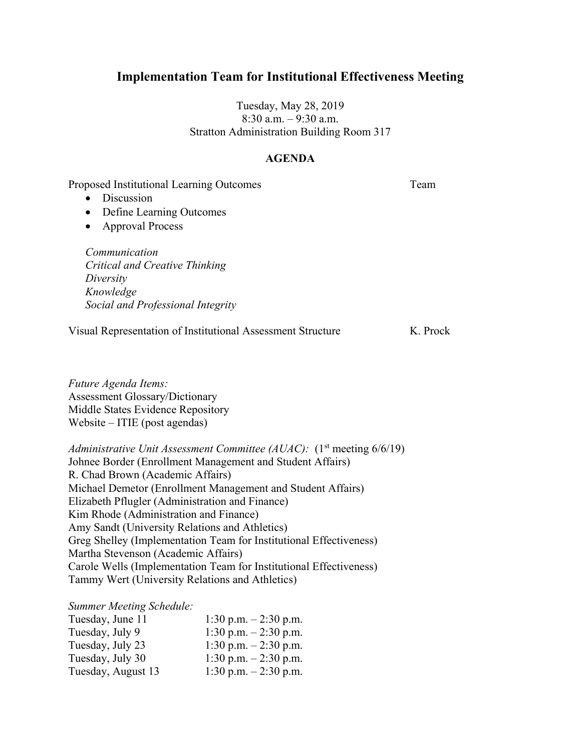Tuesday, May 28, 2019 8:30 a.m. – 9:30 a.m. Stratton Administration Building Room 317

#### **AGENDA**

Proposed Institutional Learning Outcomes Team

- Discussion
- Define Learning Outcomes
- Approval Process

*Communication Critical and Creative Thinking Diversity Knowledge Social and Professional Integrity*

Visual Representation of Institutional Assessment Structure K. Prock

*Future Agenda Items:* Assessment Glossary/Dictionary Middle States Evidence Repository Website – ITIE (post agendas)

*Administrative Unit Assessment Committee (AUAC):* (1<sup>st</sup> meeting 6/6/19) Johnee Border (Enrollment Management and Student Affairs) R. Chad Brown (Academic Affairs) Michael Demetor (Enrollment Management and Student Affairs) Elizabeth Pflugler (Administration and Finance) Kim Rhode (Administration and Finance) Amy Sandt (University Relations and Athletics) Greg Shelley (Implementation Team for Institutional Effectiveness) Martha Stevenson (Academic Affairs) Carole Wells (Implementation Team for Institutional Effectiveness) Tammy Wert (University Relations and Athletics)

#### *Summer Meeting Schedule:*

| Tuesday, June 11   | 1:30 p.m. $-2:30$ p.m. |
|--------------------|------------------------|
| Tuesday, July 9    | 1:30 p.m. $-2:30$ p.m. |
| Tuesday, July 23   | 1:30 p.m. $-2:30$ p.m. |
| Tuesday, July 30   | 1:30 p.m. $-2:30$ p.m. |
| Tuesday, August 13 | 1:30 p.m. $-2:30$ p.m. |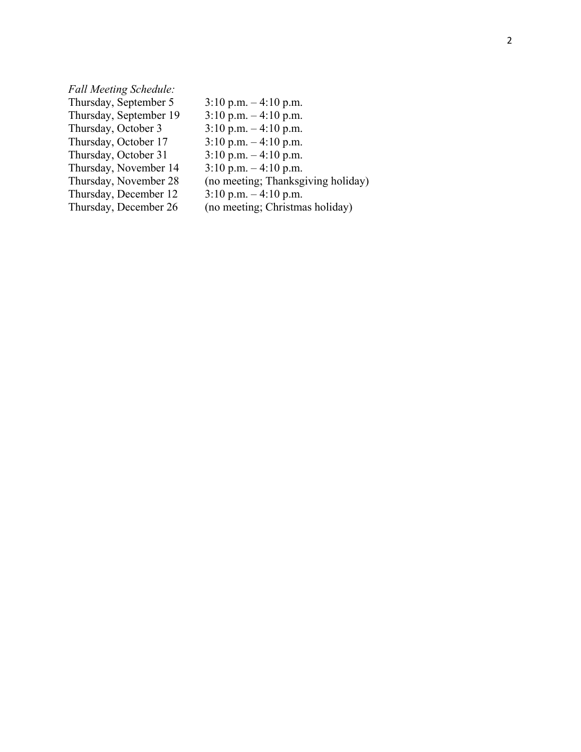# *Fall Meeting Schedule:*

| Thursday, September 5  | $3:10$ p.m. $-4:10$ p.m.           |
|------------------------|------------------------------------|
| Thursday, September 19 | $3:10$ p.m. $-4:10$ p.m.           |
| Thursday, October 3    | $3:10$ p.m. $-4:10$ p.m.           |
| Thursday, October 17   | $3:10$ p.m. $-4:10$ p.m.           |
| Thursday, October 31   | $3:10$ p.m. $-4:10$ p.m.           |
| Thursday, November 14  | $3:10$ p.m. $-4:10$ p.m.           |
| Thursday, November 28  | (no meeting; Thanksgiving holiday) |
| Thursday, December 12  | $3:10$ p.m. $-4:10$ p.m.           |
| Thursday, December 26  | (no meeting; Christmas holiday)    |
|                        |                                    |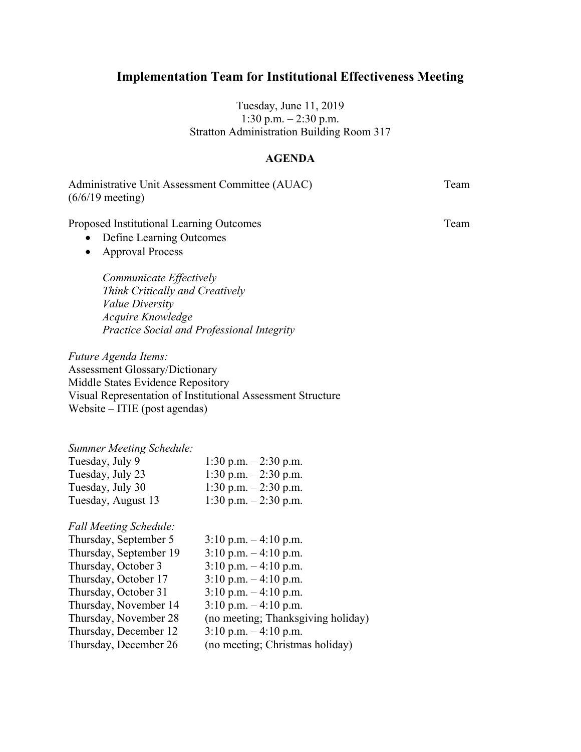Tuesday, June 11, 2019 1:30 p.m. – 2:30 p.m. Stratton Administration Building Room 317

### **AGENDA**

| Administrative Unit Assessment Committee (AUAC) | Team |
|-------------------------------------------------|------|
| $(6/6/19 \text{ meeting})$                      |      |

Proposed Institutional Learning Outcomes Team

- Define Learning Outcomes
- Approval Process

*Communicate Effectively Think Critically and Creatively Value Diversity Acquire Knowledge Practice Social and Professional Integrity*

*Future Agenda Items:*

Assessment Glossary/Dictionary Middle States Evidence Repository Visual Representation of Institutional Assessment Structure Website – ITIE (post agendas)

#### *Summer Meeting Schedule:*

| Tuesday, July 9    | 1:30 p.m. $-2:30$ p.m. |
|--------------------|------------------------|
| Tuesday, July 23   | 1:30 p.m. $-2:30$ p.m. |
| Tuesday, July 30   | 1:30 p.m. $-2:30$ p.m. |
| Tuesday, August 13 | 1:30 p.m. $-2:30$ p.m. |

#### *Fall Meeting Schedule:*

| Thursday, September 5  | $3:10$ p.m. $-4:10$ p.m.           |
|------------------------|------------------------------------|
| Thursday, September 19 | $3:10$ p.m. $-4:10$ p.m.           |
| Thursday, October 3    | $3:10$ p.m. $-4:10$ p.m.           |
| Thursday, October 17   | $3:10$ p.m. $-4:10$ p.m.           |
| Thursday, October 31   | $3:10$ p.m. $-4:10$ p.m.           |
| Thursday, November 14  | $3:10$ p.m. $-4:10$ p.m.           |
| Thursday, November 28  | (no meeting; Thanksgiving holiday) |
| Thursday, December 12  | $3:10$ p.m. $-4:10$ p.m.           |
| Thursday, December 26  | (no meeting; Christmas holiday)    |